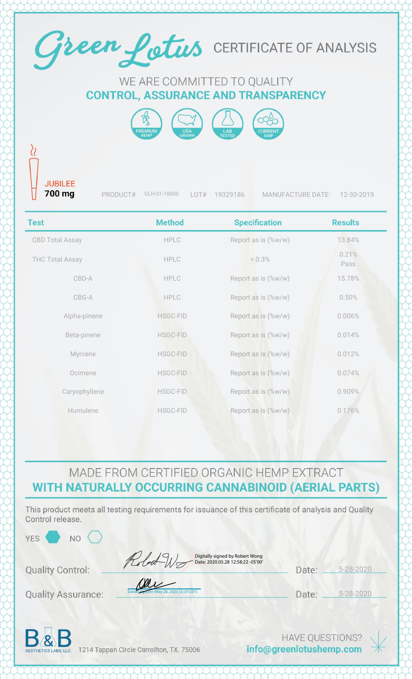

## MADE FROM CERTIFIED ORGANIC HEMP EXTRACT WITH NATURALLY OCCURRING CANNABINOID (AERIAL PARTS)

This product meets all testing requirements for issuance of this certificate of analysis and Quality Control release.

 $\frac{13.19}{20}$ 

| ⋷ |  |  |
|---|--|--|
| m |  |  |
|   |  |  |

**NO** 

Robert W. Digitally signed by Robert Wong

**Quality Control:** 

**Quality Assurance:** 

| Date: 2020.05.28 12:58:22 -05'00' |  |
|-----------------------------------|--|
|                                   |  |

5-28-2020 Date:

5-28-2020 Date:



1214 Tappan Circle Carrollton, TX. 75006

**HAVE QUESTIONS?** info@greenlotushemp.com